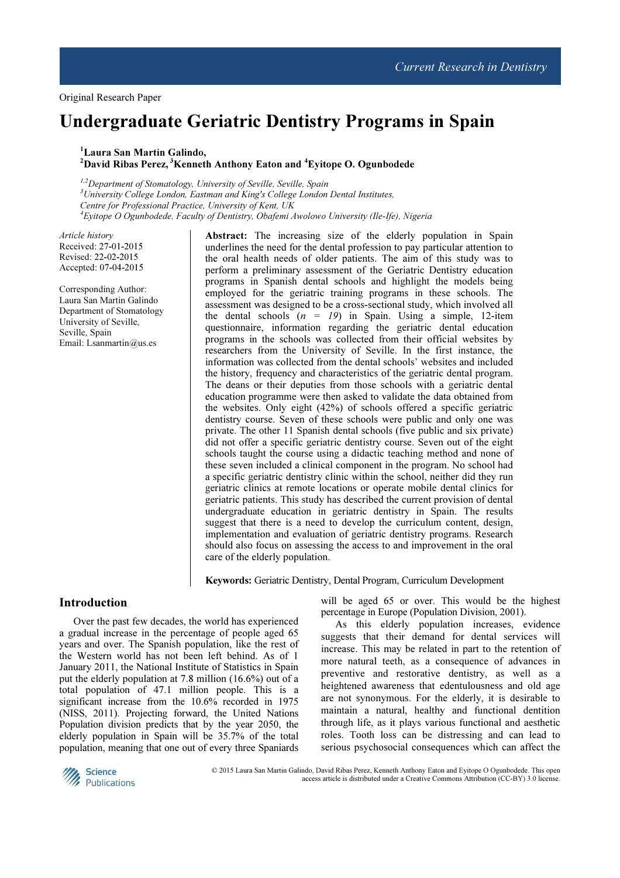# Undergraduate Geriatric Dentistry Programs in Spain

## <sup>1</sup>Laura San Martin Galindo,  $2$ David Ribas Perez,  $3$ Kenneth Anthony Eaton and  $4$ Eyitope O. Ogunbodede

<sup>1,2</sup>Department of Stomatology, University of Seville, Seville, Spain <sup>3</sup>University College London, Eastman and King's College London Dental Institutes, Centre for Professional Practice, University of Kent, UK <sup>4</sup>Eyitope O Ogunbodede, Faculty of Dentistry, Obafemi Awolowo University (Ile-Ife), Nigeria

Article history Received: 27-01-2015 Revised: 22-02-2015 Accepted: 07-04-2015

Corresponding Author: Laura San Martin Galindo Department of Stomatology University of Seville, Seville, Spain Email: Lsanmartin@us.es

Abstract: The increasing size of the elderly population in Spain underlines the need for the dental profession to pay particular attention to the oral health needs of older patients. The aim of this study was to perform a preliminary assessment of the Geriatric Dentistry education programs in Spanish dental schools and highlight the models being employed for the geriatric training programs in these schools. The assessment was designed to be a cross-sectional study, which involved all the dental schools  $(n = 19)$  in Spain. Using a simple, 12-item questionnaire, information regarding the geriatric dental education programs in the schools was collected from their official websites by researchers from the University of Seville. In the first instance, the information was collected from the dental schools' websites and included the history, frequency and characteristics of the geriatric dental program. The deans or their deputies from those schools with a geriatric dental education programme were then asked to validate the data obtained from the websites. Only eight (42%) of schools offered a specific geriatric dentistry course. Seven of these schools were public and only one was private. The other 11 Spanish dental schools (five public and six private) did not offer a specific geriatric dentistry course. Seven out of the eight schools taught the course using a didactic teaching method and none of these seven included a clinical component in the program. No school had a specific geriatric dentistry clinic within the school, neither did they run geriatric clinics at remote locations or operate mobile dental clinics for geriatric patients. This study has described the current provision of dental undergraduate education in geriatric dentistry in Spain. The results suggest that there is a need to develop the curriculum content, design, implementation and evaluation of geriatric dentistry programs. Research should also focus on assessing the access to and improvement in the oral care of the elderly population.

Keywords: Geriatric Dentistry, Dental Program, Curriculum Development

## Introduction

Over the past few decades, the world has experienced a gradual increase in the percentage of people aged 65 years and over. The Spanish population, like the rest of the Western world has not been left behind. As of 1 January 2011, the National Institute of Statistics in Spain put the elderly population at 7.8 million (16.6%) out of a total population of 47.1 million people. This is a significant increase from the 10.6% recorded in 1975 (NISS, 2011). Projecting forward, the United Nations Population division predicts that by the year 2050, the elderly population in Spain will be 35.7% of the total population, meaning that one out of every three Spaniards

will be aged 65 or over. This would be the highest percentage in Europe (Population Division, 2001).

As this elderly population increases, evidence suggests that their demand for dental services will increase. This may be related in part to the retention of more natural teeth, as a consequence of advances in preventive and restorative dentistry, as well as a heightened awareness that edentulousness and old age are not synonymous. For the elderly, it is desirable to maintain a natural, healthy and functional dentition through life, as it plays various functional and aesthetic roles. Tooth loss can be distressing and can lead to serious psychosocial consequences which can affect the



© 2015 Laura San Martin Galindo, David Ribas Perez, Kenneth Anthony Eaton and Eyitope O Ogunbodede. This open access article is distributed under a Creative Commons Attribution (CC-BY) 3.0 license.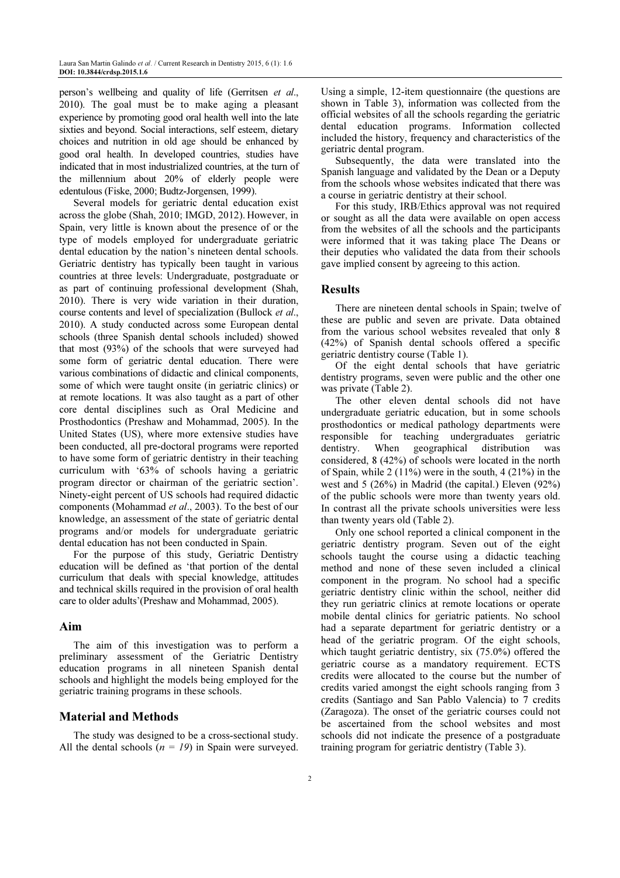person's wellbeing and quality of life (Gerritsen et al., 2010). The goal must be to make aging a pleasant experience by promoting good oral health well into the late sixties and beyond. Social interactions, self esteem, dietary choices and nutrition in old age should be enhanced by good oral health. In developed countries, studies have indicated that in most industrialized countries, at the turn of the millennium about 20% of elderly people were edentulous (Fiske, 2000; Budtz-Jorgensen, 1999).

Several models for geriatric dental education exist across the globe (Shah, 2010; IMGD, 2012). However, in Spain, very little is known about the presence of or the type of models employed for undergraduate geriatric dental education by the nation's nineteen dental schools. Geriatric dentistry has typically been taught in various countries at three levels: Undergraduate, postgraduate or as part of continuing professional development (Shah, 2010). There is very wide variation in their duration, course contents and level of specialization (Bullock et al., 2010). A study conducted across some European dental schools (three Spanish dental schools included) showed that most (93%) of the schools that were surveyed had some form of geriatric dental education. There were various combinations of didactic and clinical components, some of which were taught onsite (in geriatric clinics) or at remote locations. It was also taught as a part of other core dental disciplines such as Oral Medicine and Prosthodontics (Preshaw and Mohammad, 2005). In the United States (US), where more extensive studies have been conducted, all pre-doctoral programs were reported to have some form of geriatric dentistry in their teaching curriculum with '63% of schools having a geriatric program director or chairman of the geriatric section'. Ninety-eight percent of US schools had required didactic components (Mohammad et al., 2003). To the best of our knowledge, an assessment of the state of geriatric dental programs and/or models for undergraduate geriatric dental education has not been conducted in Spain.

For the purpose of this study, Geriatric Dentistry education will be defined as 'that portion of the dental curriculum that deals with special knowledge, attitudes and technical skills required in the provision of oral health care to older adults'(Preshaw and Mohammad, 2005).

### Aim

The aim of this investigation was to perform a preliminary assessment of the Geriatric Dentistry education programs in all nineteen Spanish dental schools and highlight the models being employed for the geriatric training programs in these schools.

# Material and Methods

The study was designed to be a cross-sectional study. All the dental schools  $(n = 19)$  in Spain were surveyed.

Using a simple, 12-item questionnaire (the questions are shown in Table 3), information was collected from the official websites of all the schools regarding the geriatric dental education programs. Information collected included the history, frequency and characteristics of the geriatric dental program.

Subsequently, the data were translated into the Spanish language and validated by the Dean or a Deputy from the schools whose websites indicated that there was a course in geriatric dentistry at their school.

For this study, IRB/Ethics approval was not required or sought as all the data were available on open access from the websites of all the schools and the participants were informed that it was taking place The Deans or their deputies who validated the data from their schools gave implied consent by agreeing to this action.

# Results

There are nineteen dental schools in Spain; twelve of these are public and seven are private. Data obtained from the various school websites revealed that only 8 (42%) of Spanish dental schools offered a specific geriatric dentistry course (Table 1).

Of the eight dental schools that have geriatric dentistry programs, seven were public and the other one was private (Table 2).

The other eleven dental schools did not have undergraduate geriatric education, but in some schools prosthodontics or medical pathology departments were responsible for teaching undergraduates geriatric dentistry. When geographical distribution was considered, 8 (42%) of schools were located in the north of Spain, while 2 (11%) were in the south, 4 (21%) in the west and 5 (26%) in Madrid (the capital.) Eleven (92%) of the public schools were more than twenty years old. In contrast all the private schools universities were less than twenty years old (Table 2).

Only one school reported a clinical component in the geriatric dentistry program. Seven out of the eight schools taught the course using a didactic teaching method and none of these seven included a clinical component in the program. No school had a specific geriatric dentistry clinic within the school, neither did they run geriatric clinics at remote locations or operate mobile dental clinics for geriatric patients. No school had a separate department for geriatric dentistry or a head of the geriatric program. Of the eight schools, which taught geriatric dentistry, six (75.0%) offered the geriatric course as a mandatory requirement. ECTS credits were allocated to the course but the number of credits varied amongst the eight schools ranging from 3 credits (Santiago and San Pablo Valencia) to 7 credits (Zaragoza). The onset of the geriatric courses could not be ascertained from the school websites and most schools did not indicate the presence of a postgraduate training program for geriatric dentistry (Table 3).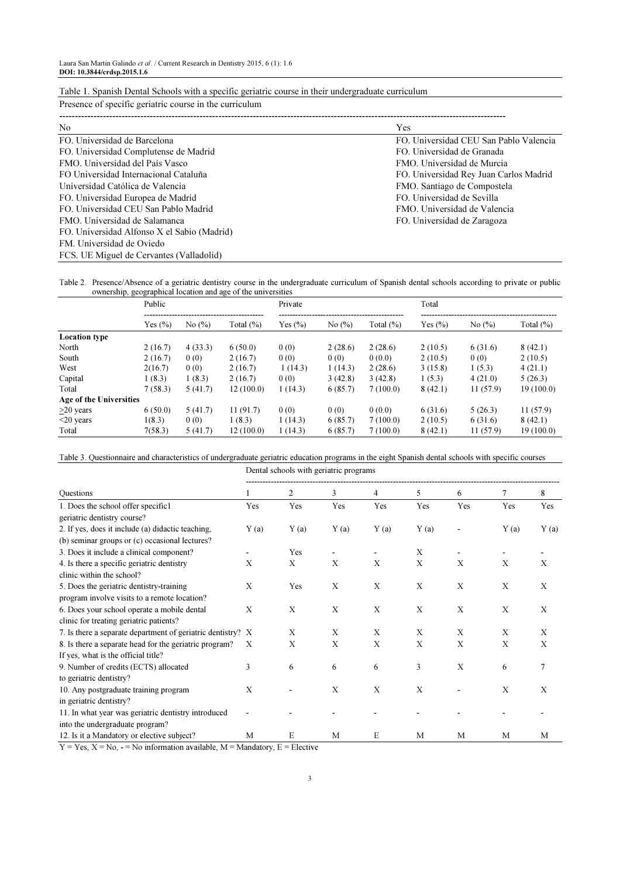## Table 1. Spanish Dental Schools with a specific geriatric course in their undergraduate curriculum

Presence of specific geriatric course in the curriculum

| N <sub>0</sub>                        | Yes                                    |
|---------------------------------------|----------------------------------------|
| FO. Universidad de Barcelona          | FO. Universidad CEU San Pablo Valencia |
| FO. Universidad Complutense de Madrid | FO. Universidad de Granada             |
| FMO. Universidad del País Vasco       | FMO. Universidad de Murcia             |
| FO Universidad Internacional Cataluña | FO. Universidad Rey Juan Carlos Madrid |
| Universidad Católica de Valencia      | FMO. Santiago de Compostela            |
| FO. Universidad Europea de Madrid     | FO. Universidad de Sevilla             |
| FO. Universidad CEU San Pablo Madrid  | FMO. Universidad de Valencia           |

FMO. Universidad de Salamanca FO. Universidad de Zaragoza

FO. Universidad Alfonso X el Sabio (Madrid) FM. Universidad de Oviedo

FCS. UE Miguel de Cervantes (Valladolid)

Table 2. Presence/Absence of a geriatric dentistry course in the undergraduate curriculum of Spanish dental schools according to private or public ownership, geographical location and age of the universities

|                         | Public      |                               |               | Private     |                               |               | Total       |                               |               |  |
|-------------------------|-------------|-------------------------------|---------------|-------------|-------------------------------|---------------|-------------|-------------------------------|---------------|--|
|                         | Yes $(\% )$ | No $\left(\frac{9}{0}\right)$ | Total $(\% )$ | Yes $(\% )$ | No $\left(\frac{9}{0}\right)$ | Total $(\% )$ | Yes $(\% )$ | No $\left(\frac{9}{6}\right)$ | Total $(\% )$ |  |
| <b>Location type</b>    |             |                               |               |             |                               |               |             |                               |               |  |
| North                   | 2(16.7)     | 4(33.3)                       | 6(50.0)       | 0(0)        | 2(28.6)                       | 2(28.6)       | 2(10.5)     | 6 (31.6)                      | 8(42.1)       |  |
| South                   | 2(16.7)     | 0(0)                          | 2(16.7)       | 0(0)        | 0(0)                          | 0(0.0)        | 2(10.5)     | 0(0)                          | 2(10.5)       |  |
| West                    | 2(16.7)     | 0(0)                          | 2(16.7)       | 1(14.3)     | 1(14.3)                       | 2(28.6)       | 3(15.8)     | 1(5.3)                        | 4(21.1)       |  |
| Capital                 | 1(8.3)      | 1(8.3)                        | 2(16.7)       | 0(0)        | 3(42.8)                       | 3(42.8)       | 1(5.3)      | 4(21.0)                       | 5(26.3)       |  |
| Total                   | 7(58.3)     | 5(41.7)                       | 12(100.0)     | 1(14.3)     | 6(85.7)                       | 7(100.0)      | 8(42.1)     | 11(57.9)                      | 19(100.0)     |  |
| Age of the Universities |             |                               |               |             |                               |               |             |                               |               |  |
| $>20$ years             | 6(50.0)     | 5(41.7)                       | 11(91.7)      | 0(0)        | 0(0)                          | 0(0.0)        | 6(31.6)     | 5(26.3)                       | 11(57.9)      |  |
| $\leq$ 20 years         | 1(8.3)      | 0(0)                          | 1(8.3)        | 1(14.3)     | 6(85.7)                       | 7(100.0)      | 2(10.5)     | 6(31.6)                       | 8(42.1)       |  |
| Total                   | 7(58.3)     | 5(41.7)                       | 12 (100.0)    | 1(14.3)     | 6(85.7)                       | 7(100.0)      | 8(42.1)     | 11(57.9)                      | 19(100.0)     |  |

Table 3. Questionnaire and characteristics of undergraduate geriatric education programs in the eight Spanish dental schools with specific courses Dental schools with geriatric programs

| Questions                                                   | 1    | 2          | 3            | $\overline{4}$ | 5            | 6   | 7            | 8    |  |  |
|-------------------------------------------------------------|------|------------|--------------|----------------|--------------|-----|--------------|------|--|--|
| 1. Does the school offer specific1                          | Yes  | Yes        | Yes          | Yes            | Yes          | Yes | Yes          | Yes  |  |  |
| geriatric dentistry course?                                 |      |            |              |                |              |     |              |      |  |  |
| 2. If yes, does it include (a) didactic teaching,           | Y(a) | Y(a)       | Y(a)         | Y(a)           | Y(a)         |     | Y(a)         | Y(a) |  |  |
| (b) seminar groups or (c) occasional lectures?              |      |            |              |                |              |     |              |      |  |  |
| 3. Does it include a clinical component?                    |      | <b>Yes</b> |              |                | $\mathbf{X}$ |     |              |      |  |  |
| 4. Is there a specific geriatric dentistry                  | X    | X          | X            | X              | X            | X   | X            | X    |  |  |
| clinic within the school?                                   |      |            |              |                |              |     |              |      |  |  |
| 5. Does the geriatric dentistry-training                    | X    | Yes        | X            | X              | X            | X   | X            | X    |  |  |
| program involve visits to a remote location?                |      |            |              |                |              |     |              |      |  |  |
| 6. Does your school operate a mobile dental                 | X    | X          | X            | X              | X            | X   | X            | X    |  |  |
| clinic for treating geriatric patients?                     |      |            |              |                |              |     |              |      |  |  |
| 7. Is there a separate department of geriatric dentistry? X |      | X          | $\mathbf{X}$ | X              | $\mathbf{X}$ | X   | $\mathbf{X}$ | X    |  |  |
| 8. Is there a separate head for the geriatric program?      | Х    | X          | X            | X              | X            | X   | X            | X    |  |  |
| If yes, what is the official title?                         |      |            |              |                |              |     |              |      |  |  |
| 9. Number of credits (ECTS) allocated                       | 3    | 6          | 6            | 6              | 3            | X   | 6            |      |  |  |
| to geriatric dentistry?                                     |      |            |              |                |              |     |              |      |  |  |
| 10. Any postgraduate training program                       | X    |            | X            | X              | X            |     | X            | X    |  |  |
| in geriatric dentistry?                                     |      |            |              |                |              |     |              |      |  |  |
| 11. In what year was geriatric dentistry introduced         |      |            |              |                |              |     |              |      |  |  |
| into the undergraduate program?                             |      |            |              |                |              |     |              |      |  |  |
| 12. Is it a Mandatory or elective subject?                  | M    | E          | M            | E              | M            | M   | M            | M    |  |  |

 $Y = Yes, X = No, -No$  information available,  $M = Mandatory, E = Electric$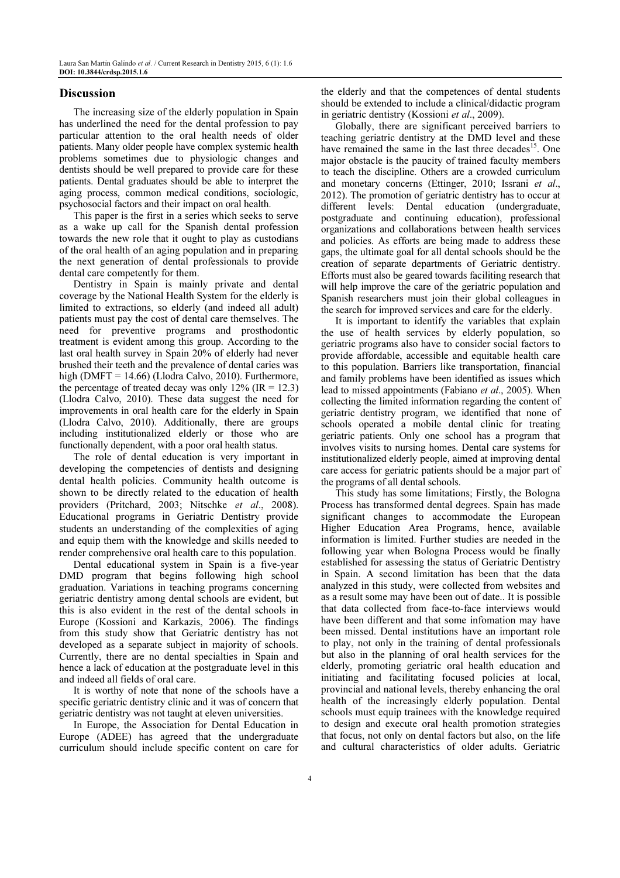#### Discussion

The increasing size of the elderly population in Spain has underlined the need for the dental profession to pay particular attention to the oral health needs of older patients. Many older people have complex systemic health problems sometimes due to physiologic changes and dentists should be well prepared to provide care for these patients. Dental graduates should be able to interpret the aging process, common medical conditions, sociologic, psychosocial factors and their impact on oral health.

This paper is the first in a series which seeks to serve as a wake up call for the Spanish dental profession towards the new role that it ought to play as custodians of the oral health of an aging population and in preparing the next generation of dental professionals to provide dental care competently for them.

Dentistry in Spain is mainly private and dental coverage by the National Health System for the elderly is limited to extractions, so elderly (and indeed all adult) patients must pay the cost of dental care themselves. The need for preventive programs and prosthodontic treatment is evident among this group. According to the last oral health survey in Spain 20% of elderly had never brushed their teeth and the prevalence of dental caries was high (DMFT =  $14.66$ ) (Llodra Calvo, 2010). Furthermore, the percentage of treated decay was only  $12\%$  (IR = 12.3) (Llodra Calvo, 2010). These data suggest the need for improvements in oral health care for the elderly in Spain (Llodra Calvo, 2010). Additionally, there are groups including institutionalized elderly or those who are functionally dependent, with a poor oral health status.

The role of dental education is very important in developing the competencies of dentists and designing dental health policies. Community health outcome is shown to be directly related to the education of health providers (Pritchard, 2003; Nitschke et al., 2008). Educational programs in Geriatric Dentistry provide students an understanding of the complexities of aging and equip them with the knowledge and skills needed to render comprehensive oral health care to this population.

Dental educational system in Spain is a five-year DMD program that begins following high school graduation. Variations in teaching programs concerning geriatric dentistry among dental schools are evident, but this is also evident in the rest of the dental schools in Europe (Kossioni and Karkazis, 2006). The findings from this study show that Geriatric dentistry has not developed as a separate subject in majority of schools. Currently, there are no dental specialties in Spain and hence a lack of education at the postgraduate level in this and indeed all fields of oral care.

It is worthy of note that none of the schools have a specific geriatric dentistry clinic and it was of concern that geriatric dentistry was not taught at eleven universities.

In Europe, the Association for Dental Education in Europe (ADEE) has agreed that the undergraduate curriculum should include specific content on care for the elderly and that the competences of dental students should be extended to include a clinical/didactic program in geriatric dentistry (Kossioni et al., 2009).

Globally, there are significant perceived barriers to teaching geriatric dentistry at the DMD level and these have remained the same in the last three decades<sup>15</sup>. One major obstacle is the paucity of trained faculty members to teach the discipline. Others are a crowded curriculum and monetary concerns (Ettinger, 2010; Issrani et al., 2012). The promotion of geriatric dentistry has to occur at different levels: Dental education (undergraduate, postgraduate and continuing education), professional organizations and collaborations between health services and policies. As efforts are being made to address these gaps, the ultimate goal for all dental schools should be the creation of separate departments of Geriatric dentistry. Efforts must also be geared towards faciliting research that will help improve the care of the geriatric population and Spanish researchers must join their global colleagues in the search for improved services and care for the elderly.

It is important to identify the variables that explain the use of health services by elderly population, so geriatric programs also have to consider social factors to provide affordable, accessible and equitable health care to this population. Barriers like transportation, financial and family problems have been identified as issues which lead to missed appointments (Fabiano et al., 2005). When collecting the limited information regarding the content of geriatric dentistry program, we identified that none of schools operated a mobile dental clinic for treating geriatric patients. Only one school has a program that involves visits to nursing homes. Dental care systems for institutionalized elderly people, aimed at improving dental care access for geriatric patients should be a major part of the programs of all dental schools.

This study has some limitations; Firstly, the Bologna Process has transformed dental degrees. Spain has made significant changes to accommodate the European Higher Education Area Programs, hence, available information is limited. Further studies are needed in the following year when Bologna Process would be finally established for assessing the status of Geriatric Dentistry in Spain. A second limitation has been that the data analyzed in this study, were collected from websites and as a result some may have been out of date.. It is possible that data collected from face-to-face interviews would have been different and that some infomation may have been missed. Dental institutions have an important role to play, not only in the training of dental professionals but also in the planning of oral health services for the elderly, promoting geriatric oral health education and initiating and facilitating focused policies at local, provincial and national levels, thereby enhancing the oral health of the increasingly elderly population. Dental schools must equip trainees with the knowledge required to design and execute oral health promotion strategies that focus, not only on dental factors but also, on the life and cultural characteristics of older adults. Geriatric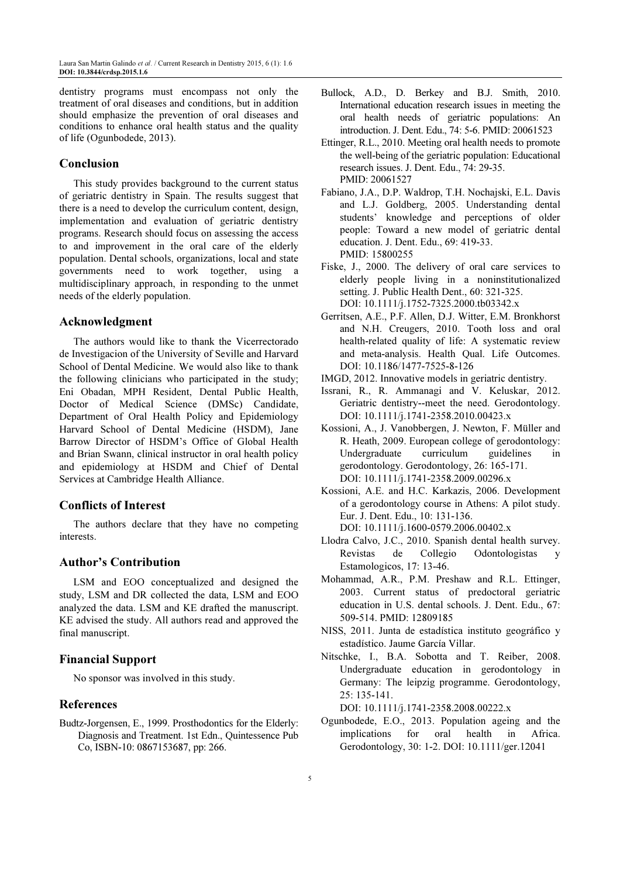dentistry programs must encompass not only the treatment of oral diseases and conditions, but in addition should emphasize the prevention of oral diseases and conditions to enhance oral health status and the quality of life (Ogunbodede, 2013).

## Conclusion

This study provides background to the current status of geriatric dentistry in Spain. The results suggest that there is a need to develop the curriculum content, design, implementation and evaluation of geriatric dentistry programs. Research should focus on assessing the access to and improvement in the oral care of the elderly population. Dental schools, organizations, local and state governments need to work together, using a multidisciplinary approach, in responding to the unmet needs of the elderly population.

## Acknowledgment

The authors would like to thank the Vicerrectorado de Investigacion of the University of Seville and Harvard School of Dental Medicine. We would also like to thank the following clinicians who participated in the study; Eni Obadan, MPH Resident, Dental Public Health, Doctor of Medical Science (DMSc) Candidate, Department of Oral Health Policy and Epidemiology Harvard School of Dental Medicine (HSDM), Jane Barrow Director of HSDM's Office of Global Health and Brian Swann, clinical instructor in oral health policy and epidemiology at HSDM and Chief of Dental Services at Cambridge Health Alliance.

## Conflicts of Interest

The authors declare that they have no competing interests.

## Author's Contribution

LSM and EOO conceptualized and designed the study, LSM and DR collected the data, LSM and EOO analyzed the data. LSM and KE drafted the manuscript. KE advised the study. All authors read and approved the final manuscript.

# Financial Support

No sponsor was involved in this study.

## References

Budtz-Jorgensen, E., 1999. Prosthodontics for the Elderly: Diagnosis and Treatment. 1st Edn., Quintessence Pub Co, ISBN-10: 0867153687, pp: 266.

- Bullock, A.D., D. Berkey and B.J. Smith, 2010. International education research issues in meeting the oral health needs of geriatric populations: An introduction. J. Dent. Edu., 74: 5-6. PMID: 20061523
- Ettinger, R.L., 2010. Meeting oral health needs to promote the well-being of the geriatric population: Educational research issues. J. Dent. Edu., 74: 29-35. PMID: 20061527
- Fabiano, J.A., D.P. Waldrop, T.H. Nochajski, E.L. Davis and L.J. Goldberg, 2005. Understanding dental students' knowledge and perceptions of older people: Toward a new model of geriatric dental education. J. Dent. Edu., 69: 419-33. PMID: 15800255
- Fiske, J., 2000. The delivery of oral care services to elderly people living in a noninstitutionalized setting. J. Public Health Dent., 60: 321-325. DOI: 10.1111/j.1752-7325.2000.tb03342.x
- Gerritsen, A.E., P.F. Allen, D.J. Witter, E.M. Bronkhorst and N.H. Creugers, 2010. Tooth loss and oral health-related quality of life: A systematic review and meta-analysis. Health Qual. Life Outcomes. DOI: 10.1186/1477-7525-8-126
- IMGD, 2012. Innovative models in geriatric dentistry.
- Issrani, R., R. Ammanagi and V. Keluskar, 2012. Geriatric dentistry--meet the need. Gerodontology. DOI: 10.1111/j.1741-2358.2010.00423.x
- Kossioni, A., J. Vanobbergen, J. Newton, F. Müller and R. Heath, 2009. European college of gerodontology: Undergraduate curriculum guidelines in gerodontology. Gerodontology, 26: 165-171. DOI: 10.1111/j.1741-2358.2009.00296.x
- Kossioni, A.E. and H.C. Karkazis, 2006. Development of a gerodontology course in Athens: A pilot study. Eur. J. Dent. Edu., 10: 131-136.
	- DOI: 10.1111/j.1600-0579.2006.00402.x
- Llodra Calvo, J.C., 2010. Spanish dental health survey. Revistas de Collegio Odontologistas y Estamologicos, 17: 13-46.
- Mohammad, A.R., P.M. Preshaw and R.L. Ettinger, 2003. Current status of predoctoral geriatric education in U.S. dental schools. J. Dent. Edu., 67: 509-514. PMID: 12809185
- NISS, 2011. Junta de estadística instituto geográfico y estadístico. Jaume García Villar.
- Nitschke, I., B.A. Sobotta and T. Reiber, 2008. Undergraduate education in gerodontology in Germany: The leipzig programme. Gerodontology, 25: 135-141.

DOI: 10.1111/j.1741-2358.2008.00222.x

Ogunbodede, E.O., 2013. Population ageing and the implications for oral health in Africa. Gerodontology, 30: 1-2. DOI: 10.1111/ger.12041